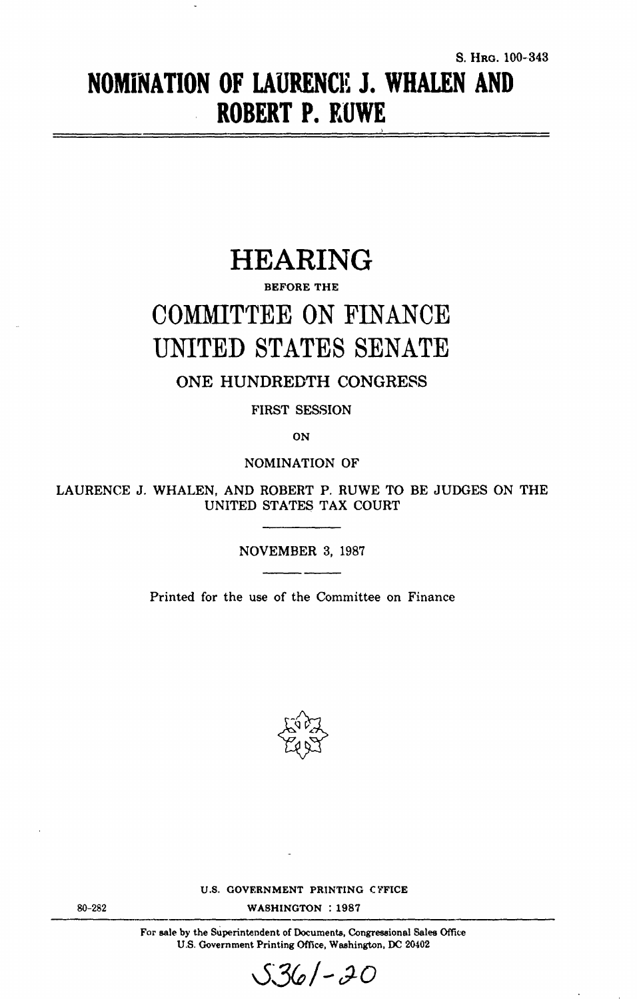# **NOMINATION** OF **LAURENCE J. WHALEN AND** ROBERT P. **KUWE**

# HEARING

## BEFORE THE

# COMMITTEE ON FINANCE UNITED STATES SENATE

ONE HUNDREDTH CONGRESS

FIRST SESSION

**ON**

NOMINATION OF

LAURENCE J. WHALEN, AND ROBERT P. RUWE TO BE JUDGES ON THE UNITED STATES TAX COURT

NOVEMBER 3, 1987

Printed for the use of the Committee on Finance



U.S. GOVERNMENT PRINTING CYFICE

WASHINGTON : 1987

For sale by the Superintendent of Documents, Congressional Sales Office U.S. Government Printing Office, Washington, DC 20402



80-282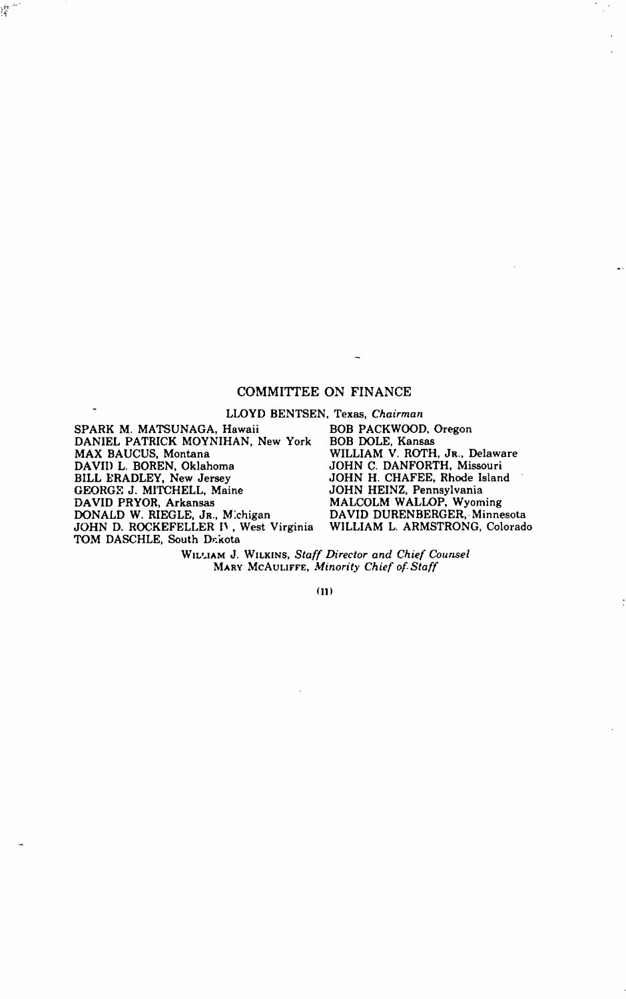## COMMITTEE ON FINANCE

LLOYD BENTSEN, Texas, Chairman SPARK M. MATSUNAGA, Hawaii DANIEL PATRICK MOYNIHAN, New York MAX BAUCUS, Montana DAVID L. BOREN, Oklahoma BILL ERADLEY, New Jersey GEORGE J. MITCHELL, Maine DAVID PRYOR, Arkansas DONALD W. RIEGLE, Jr., Michigan<br>JOHN D. ROCKEFELLER IV , West Virginia TOM DASCHLE, South Dakota

 $\overline{a}$ 

隆气

BOB PACKWOOD, Oregon BOB DOLE, Kansas WILLIAM V. ROTH, JR., Delaware JOHN C. DANFORTH, Missouri JOHN H. CHAFEE, Rhode Island JOHN HEINZ, Pennsylvania MALCOLM WALLOP, Wyoming DAVID DURENBERGER, Minnesota WILLIAM L. ARMSTRONG, Colorado

WILIAM J. WILKINS, Staff Director and Chief Counsel MARY MCAULIFFE, *Minority Chief of-Staff*

**(II)**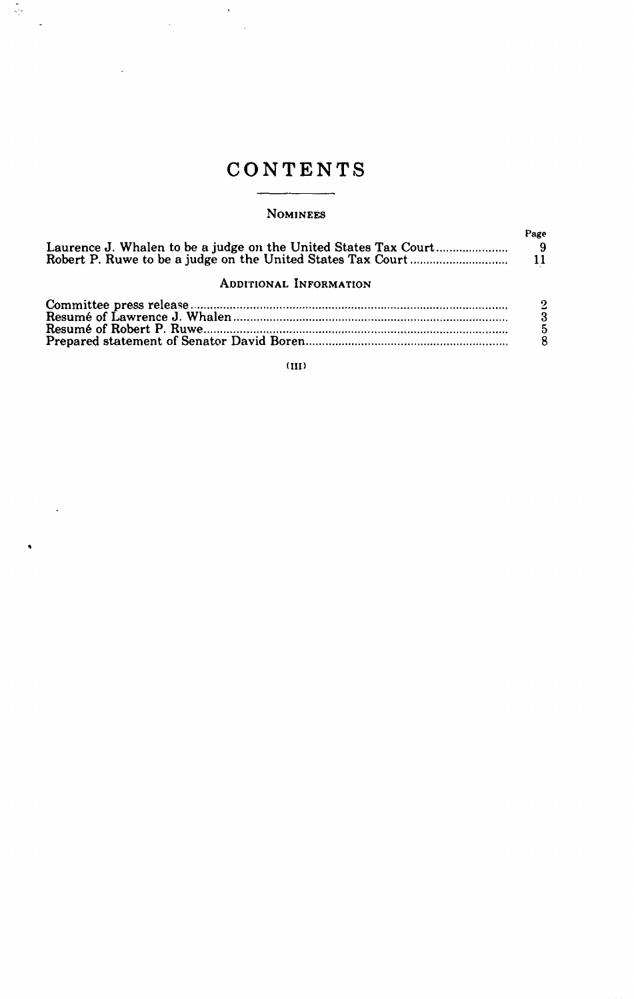# CONTENTS

 $\bar{\lambda}$ 

 $\overline{a}$ 

 $\frac{\pi}{2}$ 

 $\ddot{\phantom{a}}$ 

 $\ddot{\phantom{a}}$ 

 $\hat{\textbf{z}}$ 

## NOMINEES

|                               | Paze                                                              |
|-------------------------------|-------------------------------------------------------------------|
| <b>ADDITIONAL INFORMATION</b> |                                                                   |
|                               | $\overline{2}$<br>$\overline{3}$<br>$\overline{5}$<br>$\tilde{R}$ |

**(III)**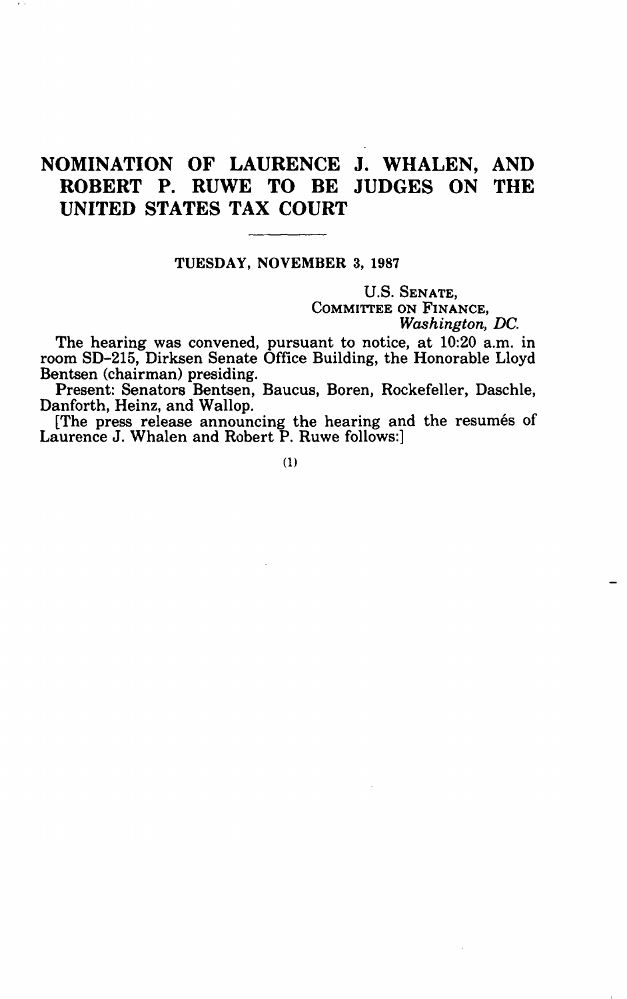# NOMINATION OF LAURENCE J. WHALEN, AND ROBERT P. RUWE TO BE JUDGES ON THE UNITED STATES TAX COURT

### TUESDAY, NOVEMBER 3, 1987

U.S. SENATE, COMMITTEE ON FINANCE, *Washington, DC.*

The hearing was convened, pursuant to notice, at 10:20 a.m. in room SD-215, Dirksen Senate Office Building, the Honorable Lloyd Bentsen (chairman) presiding.

Present: Senators Bentsen, Baucus, Boren, Rockefeller, Daschle, Danforth, Heinz, and Wallop.

[The press release announcing the hearing and the resumes of Laurence J. Whalen and Robert P. Ruwe follows:]

(1)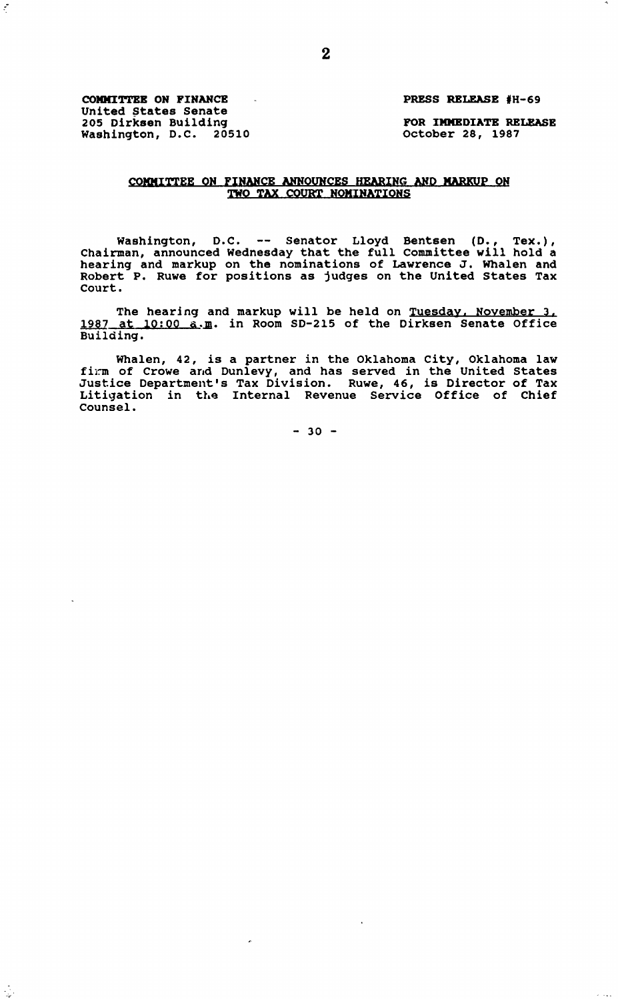**COMMITTEE ON FINANCE** PRESS RELEASE **#H-69** United States Senate 205 Dirksen Building FOR IMMEDIATE RELEASE Washington, D.C. 20510 October 28, 1987

 $\tilde{\mathcal{E}}$ 

 $\gamma_{\rm eff}$ 

#### COMMITTEE ON FINANCE ANNOUNCES HEARING AND MARKUP ON TWO TAX COURT NOMINATIONS

Washington, D.C. -- Senator Lloyd Bentsen (D., Tex.),<br>Chairman, announced Wednesday that the full Committee will hold a Chairman, announced Wednesday that the full Committee will hold a hearing and markup on the nominations of Lawrence J. Whalen and Robert P. Ruwe for positions as judges on the United States Tax Court.

The hearing and markup will be held on Tuesday. November **3.** 1987 at 10:00 a.m. in Room SD-215 of the Dirksen Senate Office Building.

Whalen, 42, is a partner in the Oklahoma City, Oklahoma law<br>firm of Crowe and Dunlevy, and has served in the United States<br>Justice Department's Tax Division. Ruwe, 46, is Director of Tax<br>Litigation in the Internal Revenue Counsel.

 $-30 -$ 

 $\cdot$ 

 $\overline{a}$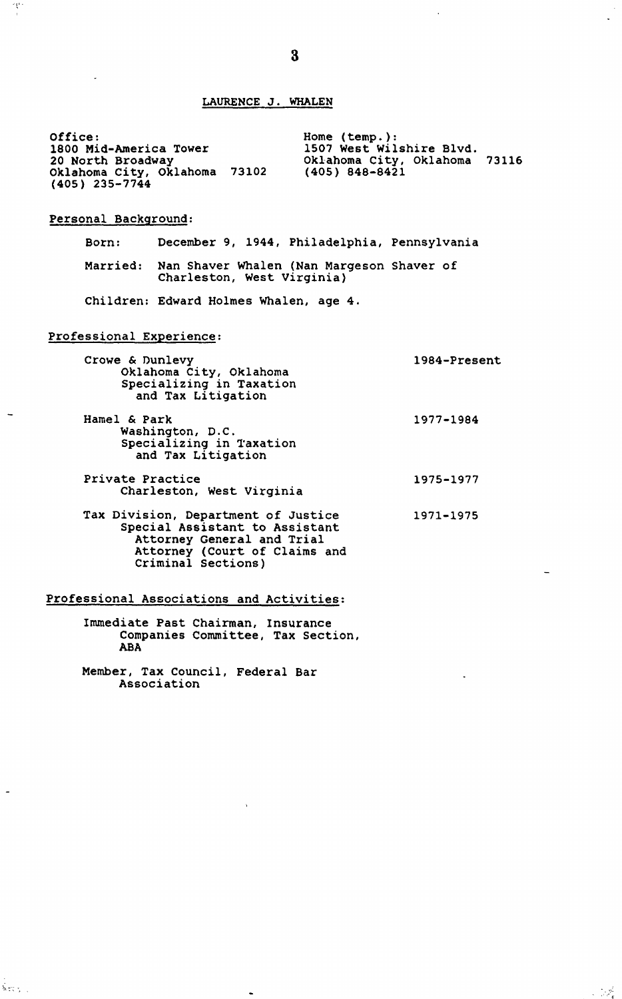### **LAURENCE J. WHALEN**

Office: 1800 Mid-America Tower 20 North Broadway Oklahoma City, Oklahoma 73102 (405) 235-7744 Home (temp.): 1507 West Wilshire Blvd. Oklahoma City, Oklahoma 73116 (405) 848-8421

#### Personal Background:

 $\mathcal{R}$ 

 $\overline{\phantom{a}}$ 

Born: December 9, 1944, Philadelphia, Pennsylvania Married: Nan Shaver Whalen (Nan Margeson Shaver of Charleston, West Virginia) Children: Edward Holmes Whalen, age 4.

#### Professional Experience:

| Crowe & Dunlevy<br>Oklahoma City, Oklahoma<br>Specializing in Taxation<br>and Tax Litigation | 1984-Present |
|----------------------------------------------------------------------------------------------|--------------|
| Hamel & Park<br>Washington, D.C.<br>Specializing in Taxation<br>and Tax Litigation           | 1977-1984    |
| Private Practice<br>Charleston, West Virginia                                                | 1975-1977    |

Tax Division, Department of Justice Special Assistant to Assistant Attorney General and Trial Attorney (Court of Claims and Criminal Sections) 1971-1975

#### Professional Associations and Activities:

Immediate Past Chairman, Insurance Companies Committee, Tax Section, ABA

Member, Tax Council, Federal Bar Association

 $\overline{a}$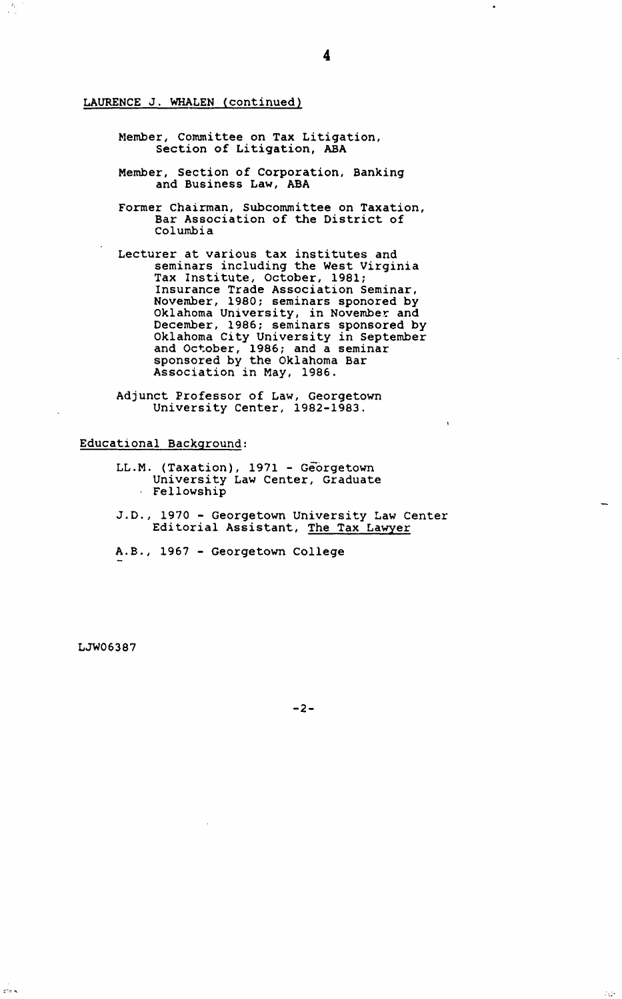LAURENCE **J.** WHALEN (continued)

 $\frac{\lambda}{\lambda}$ 

- Member, Committee on Tax Litigation, Section of Litigation, ABA
- Member, Section of Corporation, Banking and Business Law, ABA
- Former Chairman, Subcommittee on Taxation, Bar Association of the District of Columbia
- Lecturer at various tax institutes and seminars including the West Virginia Tax Institute, October, 1981; Insurance Trade Association Seminar, November, 1980; seminars sponored by Oklahoma University, in November and December, 1986; seminars sponsored by Oklahoma City University in September and October, 1986; and a seminar sponsored by the Oklahoma Bar Association in May, 1986.
- Adjunct Professor of Law, Georgetown University Center, 1982-1983.

Educational Background:

- LL.M. (Taxation), 1971 Georgetown University Law Center, Graduate Fellowship
- J.D., 1970 Georgetown University Law Center Editorial Assistant, The Tax Lawyer
- A.B., 1967 Georgetown College

LJW06387

ers k

÷,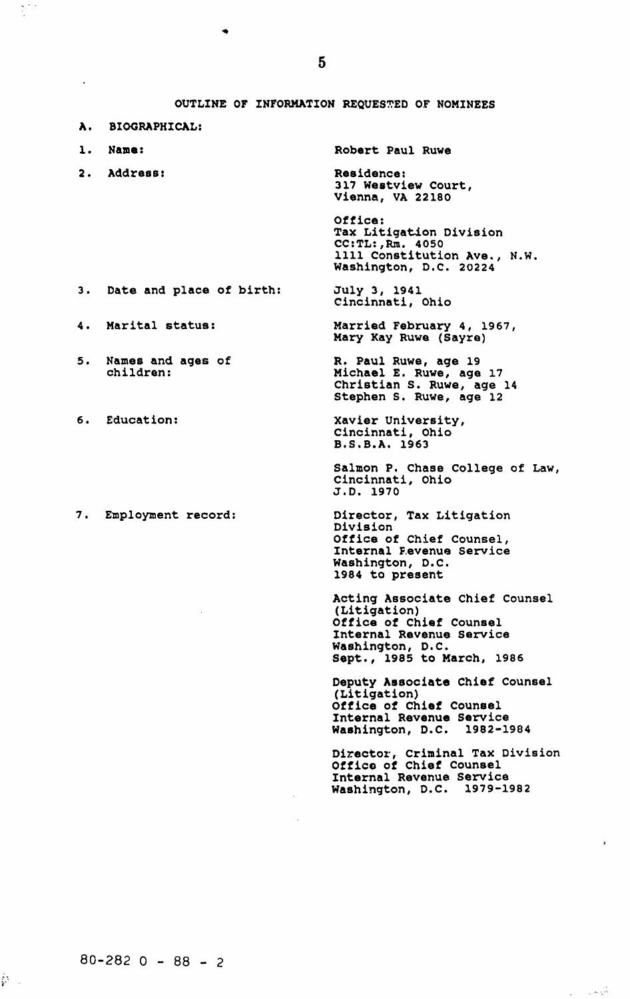OUTLINE OF INFORMATION REQUESTED OF NOMINEES

- A. BIOGRAPHICAL:
- 
- 2. Address: Residence:

**1.** Name: Robert Paul Ruwe

July 3, 1941 Cincinnati, Ohio

317 Westview Court, Vienna, VA 22180

Office: Tax Litigation Division CC:TL:,Rm. 4050 1111 Constitution Ave., N.W. Washington, D.C. 20224

Married February 4, 1967, Mary Kay Ruwe (Sayre) R. Paul Ruwe, age 19 Michael E. Ruwe, age 17 Christian S. Ruwe, age 14

- 3. Date and place of birth:
- 4. Marital status:
- 5. Names and ages of children:
- 6. Education:
- 7. Employment record:

Stephen S. Ruwe, age 12 Xavier University, Cincinnati, Ohio B.S.B.A. 1963

Salmon P. Chase College of Law<br>Cincinnati, Ohio J.D. 1970

Director, Tax Litigation Division Office of Chief Counsel, Internal Pevenue Service Washington, D.C. 1984 to present

Acting Associate Chief Counsel (Litigation) Office of Chief Counsel Internal Revenue Service Washington, D.C. Sept., 1985 to March, 1986

Deputy Associate Chief Counsel (Litigation) Office of Chief Counsel Internal Revenue Service Washington, D.C. 1982-1984

Director, Criminal Tax Division Office of Chief Counsel Internal Revenue Service Washington, D.C. 1979-1982

 $\gamma_{\rm{eff}} = 1.5 \times 10^7$ 

ĝ\.,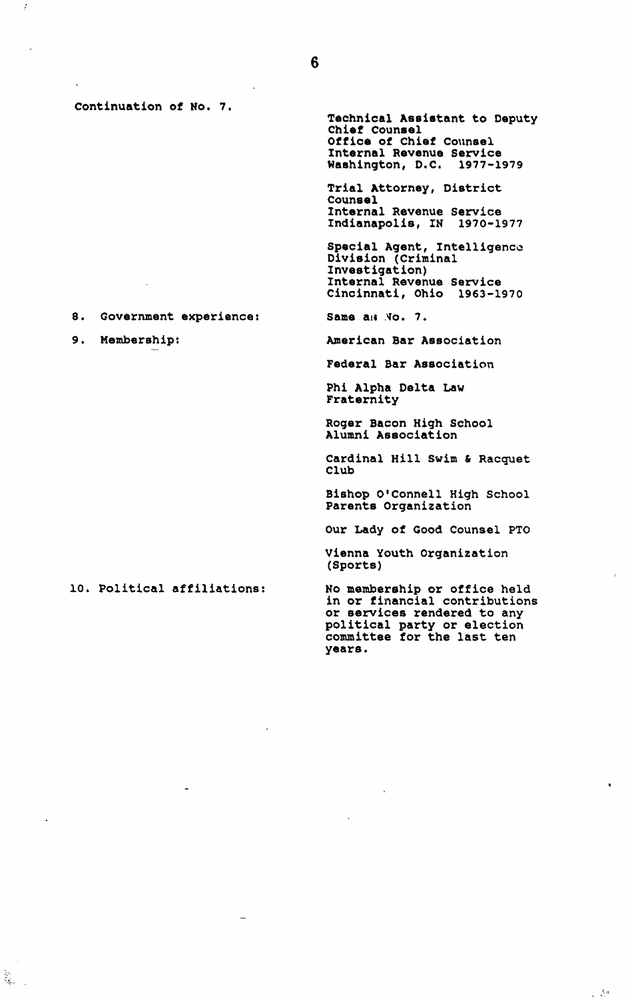Continuation of No. 7.

ċ

 $\widetilde{\widetilde{g}}_{\widetilde{g}_{\mathcal{F}}-1}$ 

8. Government experience:

9. Membership:

Technical Assistant to Deputy Chief Counsel Office of Chief Counsel Internal Revenue Service<br>Washington, D.C. 1977-1979 Washington, D.C.

Trial Attorney, District Counsel Internal Revenue Service Indianapolis, IN 1970-1977

Special Agent, Intelligence Division (Criminal Investigation) Internal Revenue Service Cincinnati, Ohio 1963-1970

Same a<sub>is</sub> No. 7.

American Bar Association

Federal Bar Association

Phi Alpha Delta Law Fraternity

Roger Bacon High School Alumni Association

Cardinal Hill Swim & Racquet Club

Bishop O'Connell High School Parents Organization

Our Lady of Good Counsel PTO

Vienna Youth Organization (Sports)

**10.** Political affiliations:

No membership or office held<br>in or financial contributions in or financial contributions or services rendered to any political party or election committee for the last ten years.

 $\bullet$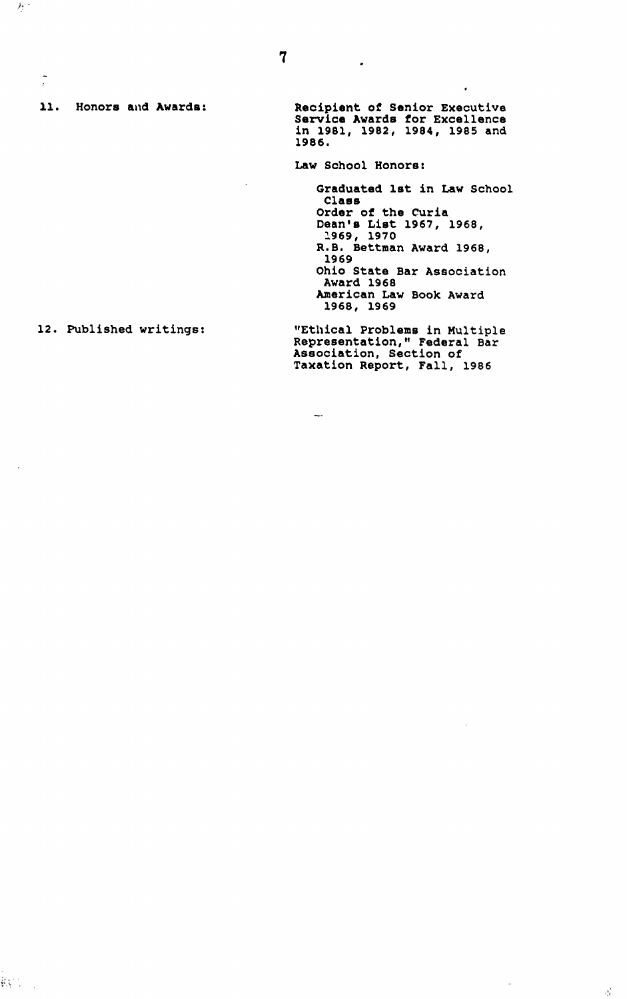**11.** Honors and Awards:

 $\mathcal{H}^*$ 

 $\frac{1}{i}$ 

Recipient of Senior Executive Service Awards for Excellence in 1981, 1982, 1984, 1985 and 1986.

 $\ddot{\phantom{0}}$ 

Law School Honors:

 $\overline{\phantom{a}}$ 

 $\ddot{\phantom{0}}$ 

Graduated 1st in Law School Class Order of the Curia Dean's List 1967, 1968, 1969, 1970 R.B. Bettman Award 1968, 1969 Ohio State Bar Association Award 1968 American Law Book Award 1968, 1969

#### 12. Published writings:

"Ethical Problems in Multiple Representation," Federal Bar Association, Section of Taxation Report, Fall, 1986

 $\mathbb{R}^{n+1}$ 

 $\bar{a}$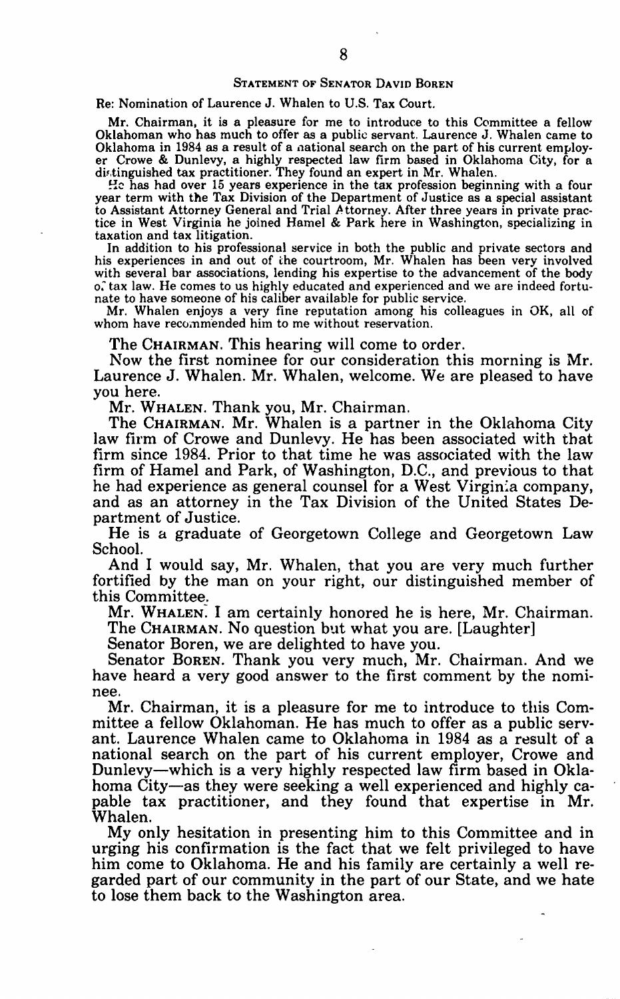#### **STATEMENT** OF **SENATOR DAVID** BOREN

#### Re: Nomination of Laurence J. Whalen to U.S. Tax Court.

Mr. Chairman, it is a pleasure for me to introduce to this Committee a fellow Oklahoman who has much to offer as a public servant. Laurence J. Whalen came to er Crowe & Dunlevy, a highly respected law firm based in Oklahoma City, for a distinguished tax practitioner. They found an expert in Mr. Whalen.

**"c** has had over 15 years experience in the tax profession beginning with a four year term with the Tax Division of the Department of Justice as a special assistant to Assistant Attorney General and Trial Attorney. After three years in private practice in West Virginia he joined Hamel & Park here in Washington, specializing in taxation and tax litigation.

In addition to his professional service in both the public and private sectors and his experiences in and out of the courtroom, Mr. Whalen has been very involved with several bar associations, lending his expertise to the advancement of the body<br>o. tax law. He comes to us highly educated and experienced and we are indeed fortunate to have someone of his caliber available for public service.

Mr. Whalen enjoys a very fine reputation among his colleagues in OK, all of whom have recommended him to me without reservation.

The CHAIRMAN. This hearing will come to order.

Now the first nominee for our consideration this morning is Mr. Laurence J. Whalen. Mr. Whalen, welcome. We are pleased to have you here.

Mr. WHALEN. Thank you, Mr. Chairman.

The CHAIRMAN. Mr. Whalen is a partner in the Oklahoma City law firm of Crowe and Dunlevy. He has been associated with that firm since 1984. Prior to that time he was associated with the law firm of Hamel and Park, of Washington, D.C., and previous to that he had experience as general counsel for a West Virginia company, and as an attorney in the Tax Division of the United States Department of Justice.

He is a graduate of Georgetown College and Georgetown Law School.

And I would say, Mr. Whalen, that you are very much further fortified by the man on your right, our distinguished member of this Committee.

Mr. WHALEN, I am certainly honored he is here, Mr. Chairman. The CHAIRMAN. No question but what you are. [Laughter]

Senator Boren, we are delighted to have you.

Senator BOREN. Thank you very much, Mr. Chairman. And we have heard a very good answer to the first comment by the nominee.

Mr. Chairman, it is a pleasure for me to introduce to this Committee a fellow Oklahoman. He has much to offer as a public servant. Laurence Whalen came to Oklahoma in 1984 as a result of a national search on the part of his current employer, Crowe and Dunlevy-which is a very highly respected law firm based in Oklahoma City-as they were seeking a well experienced and highly capable tax practitioner, and they found that expertise in Mr. Whalen.

My only hesitation in presenting him to this Committee and in urging his confirmation is the fact that we felt privileged to have him come to Oklahoma. He and his family are certainly a well regarded part of our community in the part of our State, and we hate to lose them back to the Washington area.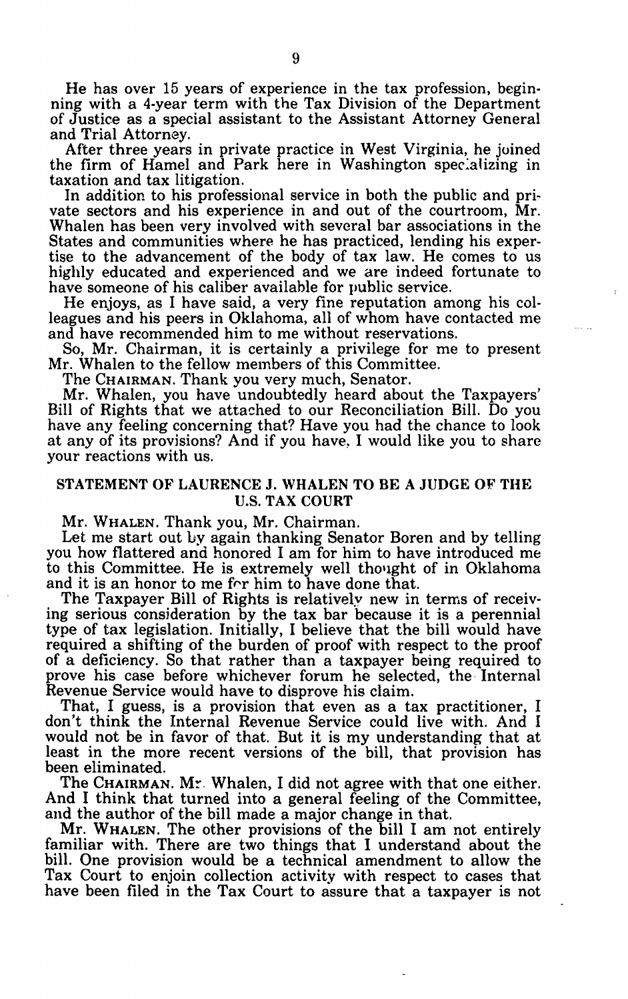He has over 15 years of experience in the tax profession, begin-<br>ning with a 4-year term with the Tax Division of the Department<br>of Justice as a special assistant to the Assistant Attorney General and Trial Attorney.

After three years in private practice in West Virginia, he joined the firm of Hamel and Park here in Washington specializing in taxation and tax litigation.

In addition to his professional service in both the public and private sectors and his experience in and out of the courtroom, Mr. Whalen has been very involved with several bar associations in the States and communities where he has practiced, lending his expertise to the advancement of the body of tax law. He comes to us highly educated and experienced and we are indeed fortunate to have someone of his caliber available for public service.

He enjoys, as I have said, a very fine reputation among his colleagues and his peers in Oklahoma, all of whom have contacted me and have recommended him to me without reservations.

So, Mr. Chairman, it is certainly a privilege for me to present Mr. Whalen to the fellow members of this Committee.

The CHAIRMAN. Thank you very much, Senator.<br>Mr. Whalen, you have undoubtedly heard about the Taxpayers' Bill of Rights that we attached to our Reconciliation Bill. Do you have any feeling concerning that? Have you had the chance to look at any of its provisions? And if you have, I would like you to share your reactions with us.

# STATEMENT OF LAURENCE J. WHALEN TO BE A JUDGE OF THE U.S. TAX COURT

Mr. **WHALEN.** Thank you, Mr. Chairman.

Let me start out by again thanking Senator Boren and by telling you how flattered and honored I am for him to have introduced me to this Committee. He is extremely well thought of in Oklahoma and it is an honor to me for him to have done that.

The Taxpayer Bill of Rights is relatively new in terms of receiving serious consideration by the tax bar because it is a perennial type of tax legislation. Initially, I believe that the bill would have required a shifting of the burden of proof with respect to the proof of a deficiency. So that rather than a taxpayer being required to prove his case before whichever forum he selected, the Internal Revenue Service would have to disprove his claim.

That, I guess, is a provision that even as a tax practitioner, I don't think the Internal Revenue Service could live with. And I would not be in favor of that. But it is my understanding that at least in the more recent versions of the bill, that provision has been eliminated.

The CHAIRMAN. Mr- Whalen, I did not agree with that one either. And I think that turned into a general feeling of the Committee, and the author of the bill made a major change in that.

Mr. **WHALEN.** The other provisions of the bill I am not entirely familiar with. There are two things that I understand about the bill. One provision would be a technical amendment to allow the Tax Court to enjoin collection activity with respect to cases that have been filed in the Tax Court to assure that a taxpayer is not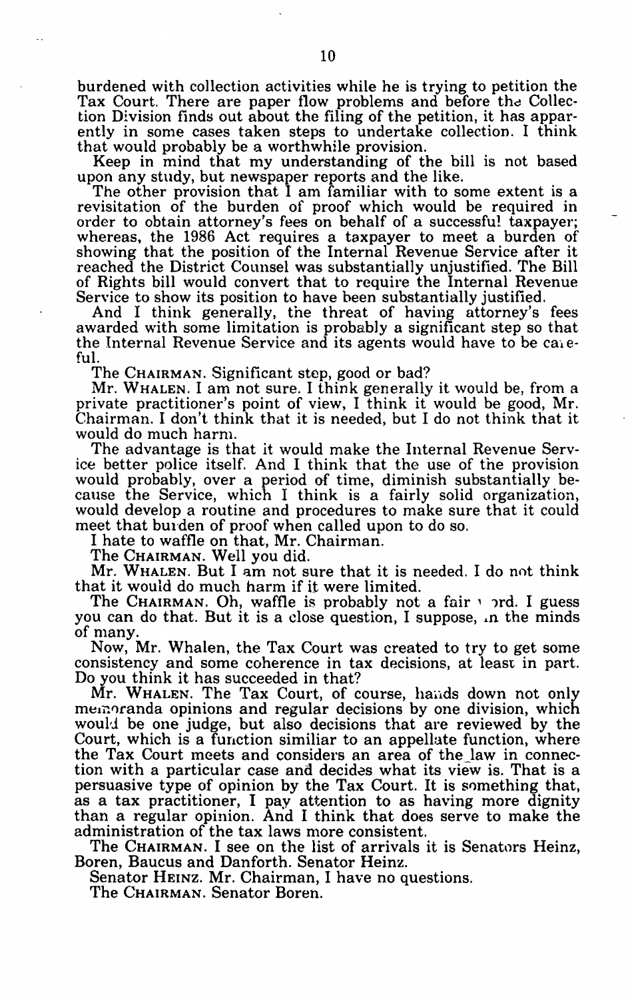burdened with collection activities while he is trying to petition the Tax Court. There are paper flow problems and before the Collection Division finds out about the filing of the petition, it has apparently in some cases taken steps to undertake collection. I think that would probably be a worthwhile provision.

Keep in mind that my understanding of the bill is not based upon any study, but newspaper reports and the like.

The other provision that I am familiar with to some extent is a revisitation of the burden of proof which would be required in order to obtain attorney's fees on behalf of a successful taxpayer; whereas, the 1986 Act requires a taxpayer to meet a burden of whereas, the 1986 Act requires a taxpayer to meet a burden of showing that the position of the Internal Revenue Service after it reached the District Counsel was substantially unjustified. The Bill of Rights bill would convert that to require the Internal Revenue<br>Service to show its position to have been substantially justified.

And I think generally, the threat of having attorney's fees awarded with some limitation is probably a significant step so that the Internal Revenue Service and its agents would have to be ca, eful.

The CHAIRMAN. Significant step, good or bad?

Mr. **WHALEN.** I am not sure. I think generally it would be, from a private practitioner's point of view, I think it would be good, Mr. Chairman. I don't think that it is needed, but I do not think that it would do much harm.

The advantage is that it would make the Internal Revenue Service better police itself. And I think that the use of the provision would probably, over a period of time, diminish substantially because the Service, which I think is a fairly solid organization, would develop a routine and procedures to make sure that it could meet that burden of proof when called upon to do so.

I hate to waffle on that, Mr. Chairman.

The CHAIRMAN. Well you did.

Mr. WHALEN. But I am not sure that it is needed. I do not think that it would do much harm if it were limited.

The CHAIRMAN. Oh, waffle is probably not a fair  $\cdot$  ord. I guess you can do that. But it is a close question, I suppose,  $\Lambda$  the minds of many.

Now, Mr. Whalen, the Tax Court was created to try to get some consistency and some coherence in tax decisions, at least in part. Do you think it has succeeded in that?

Mr. WHALEN. The Tax Court, of course, hands down not only memoranda opinions and regular decisions by one division, which would be one judge, but also decisions that are reviewed by the Court, which is a function similiar to an appellate function, where the Tax Court meets and considers an area of the law in connection with a particular case and decides what its view is. That is a persuasive type of opinion by the Tax Court. It is something that, as a tax practitioner, I pay attention to as having more dignity than a regular opinion. **And** I think that does serve to make the administration of the tax laws more consistent.

The CHAIRMAN. I see on the list of arrivals it is Senators Heinz, Boren, Baucus and Danforth. Senator Heinz.

Senator **HEINZ.** Mr. Chairman, I have no questions.

The CHAIRMAN. Senator Boren.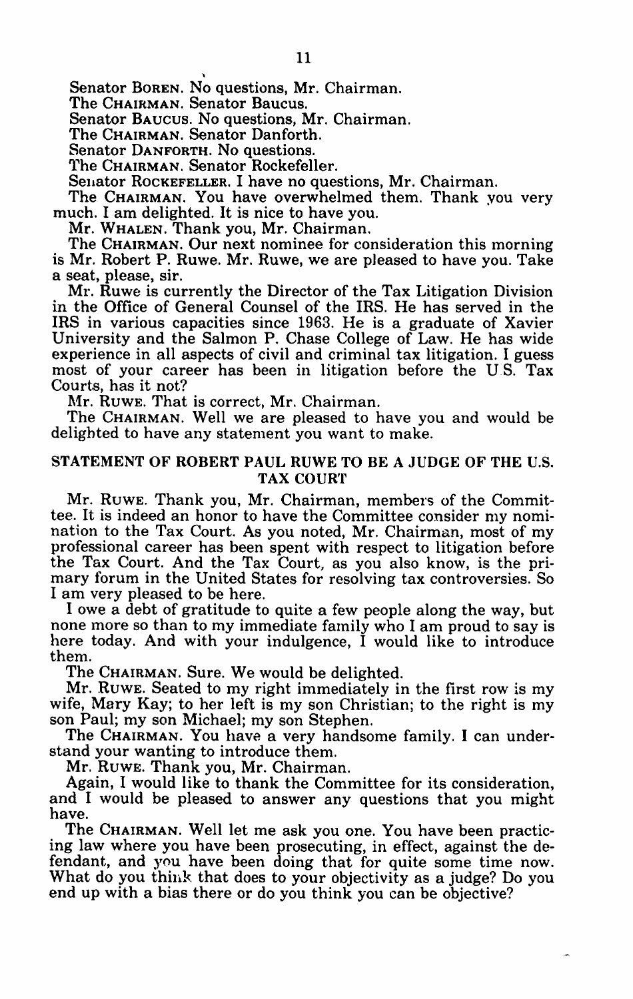Senator BOREN. No questions, Mr. Chairman.

The CHAIRMAN. Senator Baucus.

Senator **BAUCUS.** No questions, Mr. Chairman.

The CHAIRMAN. Senator Danforth.

Senator DANFORTH. No questions.

The CHAIRMAN. Senator Rockefeller.

Senator ROCKEFELLER. I have no questions, Mr. Chairman.

The CHAIRMAN. You have overwhelmed them. Thank you very much. I am delighted. It is nice to have you.

Mr. **WHALEN.** Thank you, Mr. Chairman.

The CHAIRMAN. Our next nominee for consideration this morning is Mr. Robert P. Ruwe. Mr. Ruwe, we are pleased to have you. Take a seat, please, sir.

Mr. Ruwe is currently the Director of the Tax Litigation Division in the Office of General Counsel of the IRS. He has served in the IRS in various capacities since 1963. He is a graduate of Xavier University and the Salmon P. Chase College of Law. He has wide experience in all aspects of civil and criminal tax litigation. I guess most of your career has been in litigation before the U.S. Tax Courts, has it not?

Mr. RUWE. That is correct, Mr. Chairman.

The CHAIRMAN. Well we are pleased to have you and would be delighted to have any statement you want to make.

# STATEMENT OF ROBERT PAUL RUWE TO BE A JUDGE OF THE U.S. TAX COURT

Mr. RUWE. Thank you, Mr. Chairman, members of the Committee. It is indeed an honor to have the Committee consider my nomination to the Tax Court. As you noted, Mr. Chairman, most of my professional career has been spent with respect to litigation before the Tax Court. And the Tax Court, as you also know, is the primary forum in the United States for resolving tax controversies. So I am very pleased to be here.

I owe a debt of gratitude to quite a few people along the way, but none more so than to my immediate family who I am proud to say is here today. And with your indulgence, I would like to introduce them.

The CHAIRMAN. Sure. We would be delighted.

Mr. **RuWE.** Seated to my right immediately in the first row is my wife, Mary Kay; to her left is my son Christian; to the right is my son Paul; my son Michael; my son Stephen. The CHAIRMAN. You have a very handsome family. I can under-

stand your wanting to introduce them.

Mr. RUWE. Thank you, Mr. Chairman.

Again, I would like to thank the Committee for its consideration, and I would be pleased to answer any questions that you might have.

The CHAIRMAN. Well let me ask you one. You have been practic- ing law where you have been prosecuting, in effect, against the defendant, and you have been doing that for quite some time now. What do you think that does to your objectivity as a judge? Do you end up with a bias there or do you think you can be objective?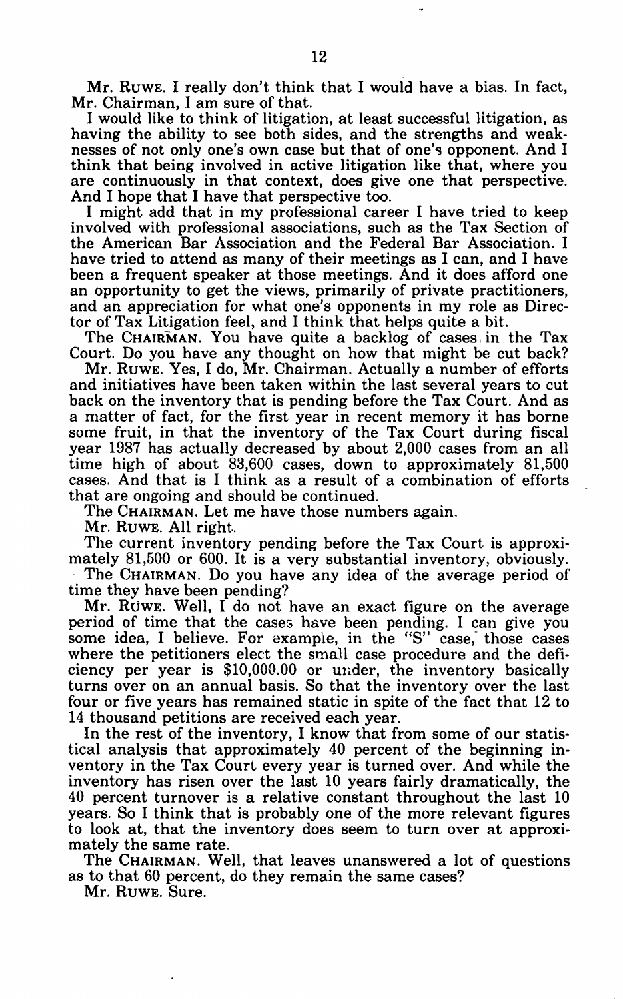Mr. RuwE. I really don't think that I would have a bias. In fact, Mr. Chairman, I am sure of that.

I would like to think of litigation, at least successful litigation, as having the ability to see both sides, and the strengths and weaknesses of not only one's own case but that of one's opponent. And I think that being involved in active litigation like that, where you are continuously in that context, does give one that perspective. And I hope that I have that perspective too.

I might add that in my professional career I have tried to keep involved with professional associations, such as the Tax Section of the American Bar Association and the Federal Bar Association. I have tried to attend as many of their meetings as I can, and I have been a frequent speaker at those meetings. And it does afford one an opportunity to get the views, primarily of private practitioners, and an appreciation for what one's opponents in my role as Director of Tax Litigation feel, and I think that helps quite a bit.

The CHAIRMAN. You have quite a backlog of cases in the Tax Court. Do you have any thought on how that might be cut back?

Mr. **RUWE.** Yes, I do, Mr. Chairman. Actually a number of efforts and initiatives have been taken within the last several years to cut back on the inventory that is pending before the Tax Court. And as a matter of fact, for the first year in recent memory it has borne some fruit, in that the inventory of the Tax Court during fiscal year 1987 has actually decreased by about 2,000 cases from an all time high of about 83,600 cases, down to approximately 81,500 cases. And that is I think as a result of a combination of efforts that are ongoing and should be continued.

The CHAIRMAN. Let me have those numbers again.

Mr. RUWE. All right.

The current inventory pending before the Tax Court is approximately 81,500 or 600. It is a very substantial inventory, obviously. The CHAIRMAN. Do you have any idea of the average period of

time they have been pending?

Mr. Ruwe. Well, I do not have an exact figure on the average period of time that the cases have been pending. I can give you some idea, I believe. For example, in the "S" case, those cases where the petitioners elect the small case procedure and the deficiency per year is \$10,000.00 or under, the inventory basically turns over on an annual basis. So that the inventory over the last four or five years has remained static in spite of the fact that 12 to 14 thousand petitions are received each year.

In the rest of the inventory, I know that from some of our statistical analysis that approximately 40 percent of the beginning inventory in the Tax Court every year is turned over. And while the inventory has risen over the last 10 years fairly dramatically, the 40 percent turnover is a relative constant throughout the last 10 years. So I think that is probably one of the more relevant figures to look at, that the inventory does seem to turn over at approximately the same rate.

The CHAIRMAN. Well, that leaves unanswered a lot of questions as to that 60 percent, do they remain the same cases?

Mr. RUWE. Sure.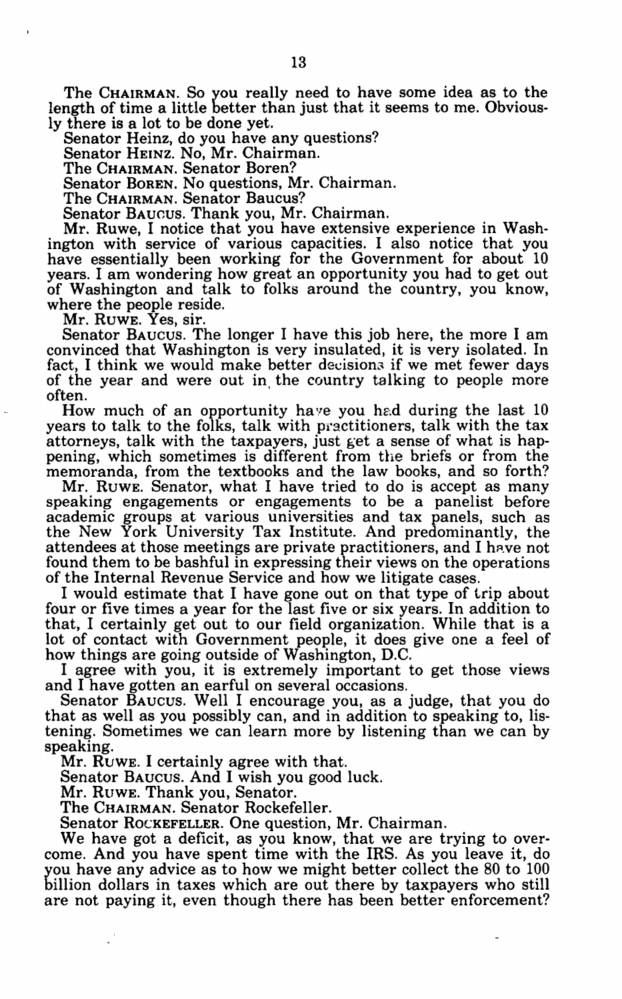The CHAIRMAN. So you really need to have some idea as to the length of time a little better than just that it seems to me. Obviously there is a lot to be done yet.

Senator Heinz, do you have any questions?

Senator HEINZ. No, Mr. Chairman.

The CHAIRMAN. Senator Boren?

Senator BOREN. No questions, Mr. Chairman.

The CHAIRMAN. Senator Baucus?

Senator BAUCUS. Thank you, Mr. Chairman.

Mr. Ruwe, I notice that you have extensive experience in Washington with service of various capacities. I also notice that you have essentially been working for the Government for about 10 years. I am wondering how great an opportunity you had to get out of Washington and talk to folks around the country, you know, where the people reside.

Mr. RUWE. Yes, sir.

Senator **BAUCUS.** The longer I have this job here, the more I am convinced that Washington is very insulated, it is very isolated. In fact, I think we would make better decisions if we met fewer days of the year and were out in the country talking to people more often.

How much of an opportunity have you had during the last  $10$ years to talk to the folks, talk with practitioners, talk with the tax attorneys, talk with the taxpayers, just get a sense of what is happening, which sometimes is different from the briefs or from the memoranda, from the textbooks and the law books, and so forth?

Mr. RUWE. Senator, what I have tried to do is accept as many speaking engagements or engagements to be a panelist before academic groups at various universities and tax panels, such as the New York University Tax Institute. And predominantly, the attendees at those meetings are private practitioners, and I have not found them to be bashful in expressing their views on the operations of the Internal Revenue Service and how we litigate cases.

I would estimate that I have gone out on that type of trip about four or five times a year for the last five or six years. In addition to that, I certainly get out to our field organization. While that is a lot of contact with Government people, it does give one a feel of how things are going outside of Washington, D.C.

I agree with you, it is extremely important to get those views and I have gotten an earful on several occasions.

Senator BAUCUS. Well I encourage you, as a judge, that you do that as well as you possibly can, and in addition to speaking to, listening. Sometimes we can learn more by listening than we can by speaking.

Mr. RUWE. I certainly agree with that.

Senator **BAUCUS.** And I wish you good luck.

Mr. RUWE. Thank you, Senator.

The CHAIRMAN. Senator Rockefeller.

Senator ROCKEFELLER. One question, Mr. Chairman.

We have got a deficit, as you know, that we are trying to overcome. And you have spent time with the IRS. As you leave it, do ou have any advice as to how we might better collect the 80 to 100 illion dollars in taxes which are out there by taxpayers who still are not paying it, even though there has been better enforcement?